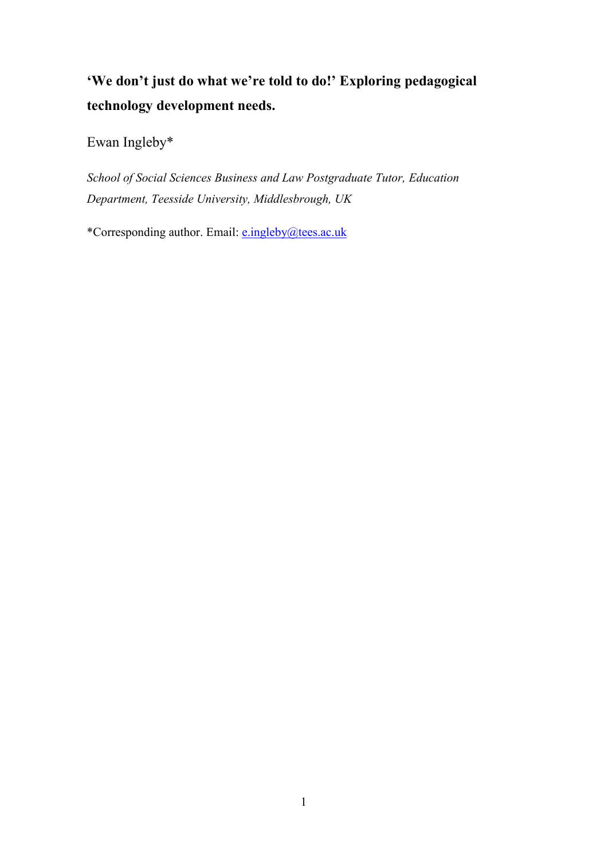**'We don't just do what we're told to do!' Exploring pedagogical technology development needs.** 

Ewan Ingleby\*

*School of Social Sciences Business and Law Postgraduate Tutor, Education Department, Teesside University, Middlesbrough, UK* 

\*Corresponding author. Email: [e.ingleby@tees.ac.uk](mailto:e.ingleby@tees.ac.uk)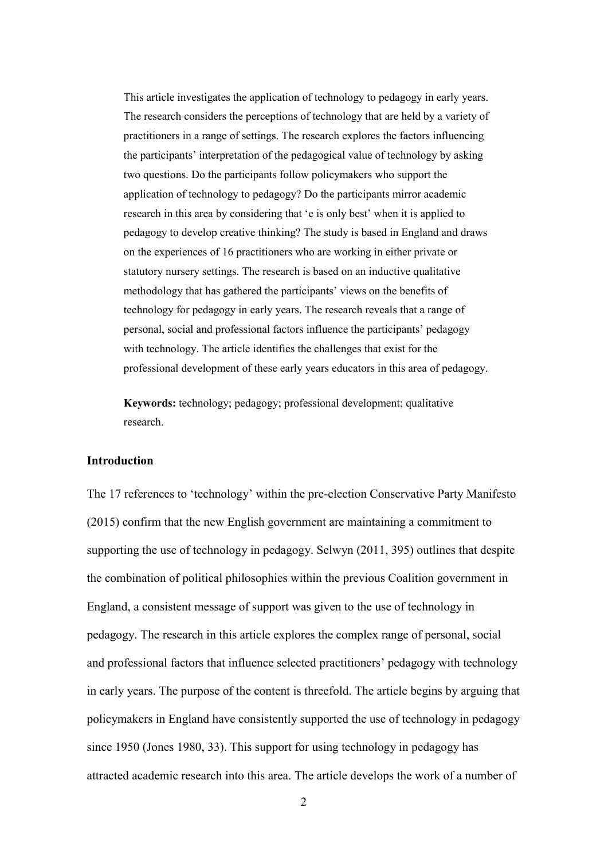This article investigates the application of technology to pedagogy in early years. The research considers the perceptions of technology that are held by a variety of practitioners in a range of settings. The research explores the factors influencing the participants' interpretation of the pedagogical value of technology by asking two questions. Do the participants follow policymakers who support the application of technology to pedagogy? Do the participants mirror academic research in this area by considering that 'e is only best' when it is applied to pedagogy to develop creative thinking? The study is based in England and draws on the experiences of 16 practitioners who are working in either private or statutory nursery settings. The research is based on an inductive qualitative methodology that has gathered the participants' views on the benefits of technology for pedagogy in early years. The research reveals that a range of personal, social and professional factors influence the participants' pedagogy with technology. The article identifies the challenges that exist for the professional development of these early years educators in this area of pedagogy.

**Keywords:** technology; pedagogy; professional development; qualitative research.

### **Introduction**

The 17 references to 'technology' within the pre-election Conservative Party Manifesto (2015) confirm that the new English government are maintaining a commitment to supporting the use of technology in pedagogy. Selwyn (2011, 395) outlines that despite the combination of political philosophies within the previous Coalition government in England, a consistent message of support was given to the use of technology in pedagogy. The research in this article explores the complex range of personal, social and professional factors that influence selected practitioners' pedagogy with technology in early years. The purpose of the content is threefold. The article begins by arguing that policymakers in England have consistently supported the use of technology in pedagogy since 1950 (Jones 1980, 33). This support for using technology in pedagogy has attracted academic research into this area. The article develops the work of a number of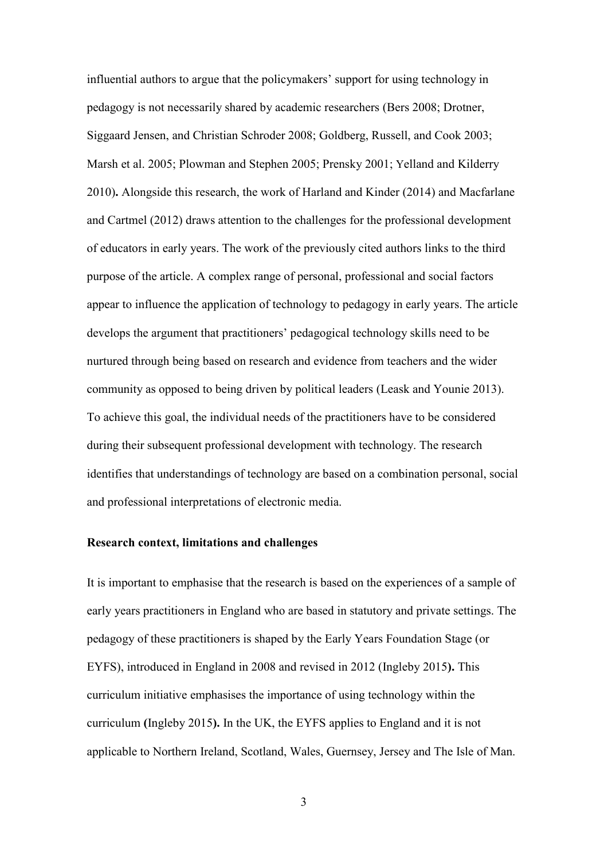influential authors to argue that the policymakers' support for using technology in pedagogy is not necessarily shared by academic researchers (Bers 2008; Drotner, Siggaard Jensen, and Christian Schroder 2008; Goldberg, Russell, and Cook 2003; Marsh et al. 2005; Plowman and Stephen 2005; Prensky 2001; Yelland and Kilderry 2010)**.** Alongside this research, the work of Harland and Kinder (2014) and Macfarlane and Cartmel (2012) draws attention to the challenges for the professional development of educators in early years. The work of the previously cited authors links to the third purpose of the article. A complex range of personal, professional and social factors appear to influence the application of technology to pedagogy in early years. The article develops the argument that practitioners' pedagogical technology skills need to be nurtured through being based on research and evidence from teachers and the wider community as opposed to being driven by political leaders (Leask and Younie 2013). To achieve this goal, the individual needs of the practitioners have to be considered during their subsequent professional development with technology. The research identifies that understandings of technology are based on a combination personal, social and professional interpretations of electronic media.

## **Research context, limitations and challenges**

It is important to emphasise that the research is based on the experiences of a sample of early years practitioners in England who are based in statutory and private settings. The pedagogy of these practitioners is shaped by the Early Years Foundation Stage (or EYFS), introduced in England in 2008 and revised in 2012 (Ingleby 2015**).** This curriculum initiative emphasises the importance of using technology within the curriculum **(**Ingleby 2015**).** In the UK, the EYFS applies to England and it is not applicable to Northern Ireland, Scotland, Wales, Guernsey, Jersey and The Isle of Man.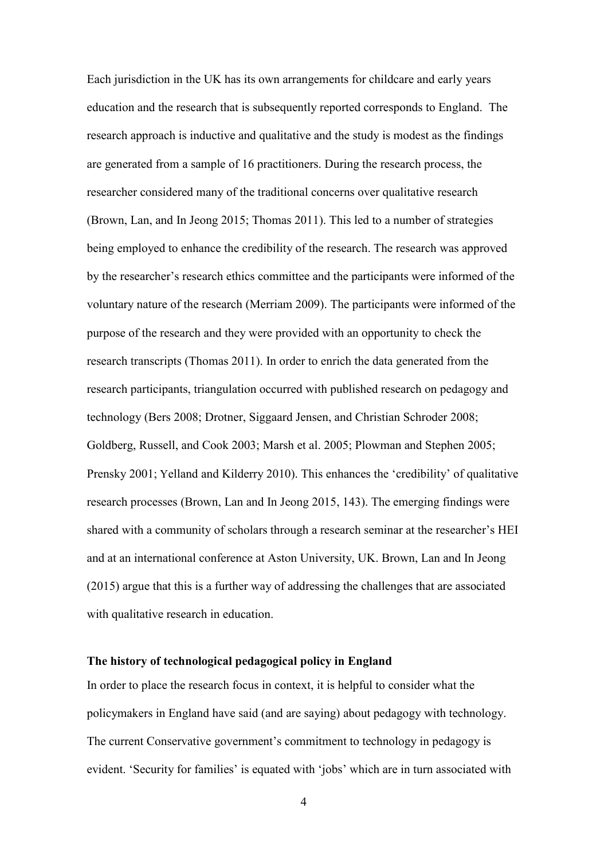Each jurisdiction in the UK has its own arrangements for childcare and early years education and the research that is subsequently reported corresponds to England. The research approach is inductive and qualitative and the study is modest as the findings are generated from a sample of 16 practitioners. During the research process, the researcher considered many of the traditional concerns over qualitative research (Brown, Lan, and In Jeong 2015; Thomas 2011). This led to a number of strategies being employed to enhance the credibility of the research. The research was approved by the researcher's research ethics committee and the participants were informed of the voluntary nature of the research (Merriam 2009). The participants were informed of the purpose of the research and they were provided with an opportunity to check the research transcripts (Thomas 2011). In order to enrich the data generated from the research participants, triangulation occurred with published research on pedagogy and technology (Bers 2008; Drotner, Siggaard Jensen, and Christian Schroder 2008; Goldberg, Russell, and Cook 2003; Marsh et al. 2005; Plowman and Stephen 2005; Prensky 2001; Yelland and Kilderry 2010). This enhances the 'credibility' of qualitative research processes (Brown, Lan and In Jeong 2015, 143). The emerging findings were shared with a community of scholars through a research seminar at the researcher's HEI and at an international conference at Aston University, UK. Brown, Lan and In Jeong (2015) argue that this is a further way of addressing the challenges that are associated with qualitative research in education.

## **The history of technological pedagogical policy in England**

In order to place the research focus in context, it is helpful to consider what the policymakers in England have said (and are saying) about pedagogy with technology. The current Conservative government's commitment to technology in pedagogy is evident. 'Security for families' is equated with 'jobs' which are in turn associated with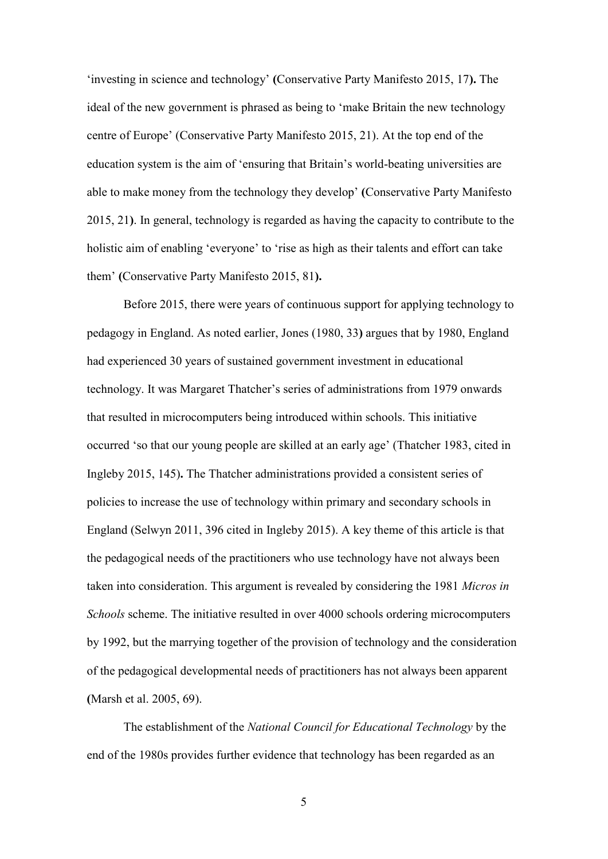'investing in science and technology' **(**Conservative Party Manifesto 2015, 17**).** The ideal of the new government is phrased as being to 'make Britain the new technology centre of Europe' (Conservative Party Manifesto 2015, 21). At the top end of the education system is the aim of 'ensuring that Britain's world-beating universities are able to make money from the technology they develop' **(**Conservative Party Manifesto 2015, 21**)**. In general, technology is regarded as having the capacity to contribute to the holistic aim of enabling 'everyone' to 'rise as high as their talents and effort can take them' **(**Conservative Party Manifesto 2015, 81**).**

Before 2015, there were years of continuous support for applying technology to pedagogy in England. As noted earlier, Jones (1980, 33**)** argues that by 1980, England had experienced 30 years of sustained government investment in educational technology. It was Margaret Thatcher's series of administrations from 1979 onwards that resulted in microcomputers being introduced within schools. This initiative occurred 'so that our young people are skilled at an early age' (Thatcher 1983, cited in Ingleby 2015, 145)**.** The Thatcher administrations provided a consistent series of policies to increase the use of technology within primary and secondary schools in England (Selwyn 2011, 396 cited in Ingleby 2015). A key theme of this article is that the pedagogical needs of the practitioners who use technology have not always been taken into consideration. This argument is revealed by considering the 1981 *Micros in Schools* scheme. The initiative resulted in over 4000 schools ordering microcomputers by 1992, but the marrying together of the provision of technology and the consideration of the pedagogical developmental needs of practitioners has not always been apparent **(**Marsh et al. 2005, 69).

The establishment of the *National Council for Educational Technology* by the end of the 1980s provides further evidence that technology has been regarded as an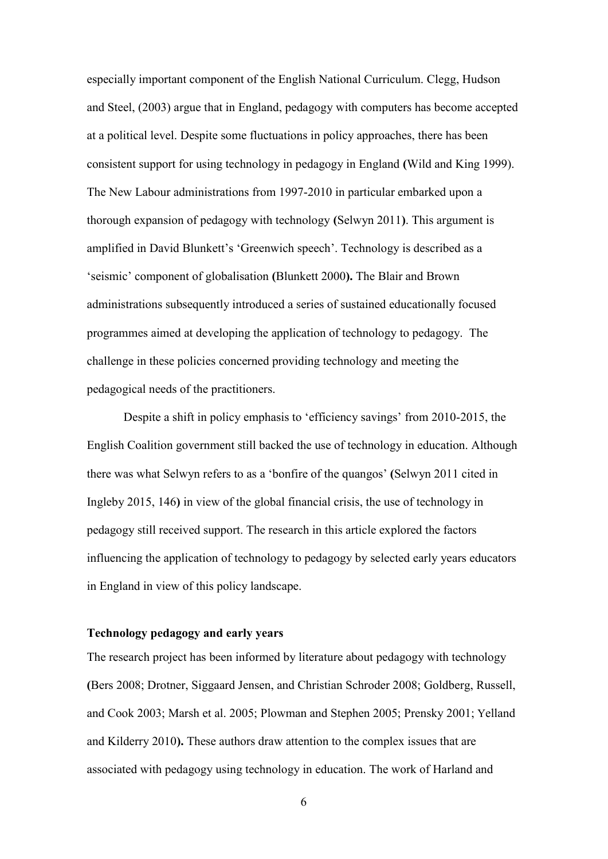especially important component of the English National Curriculum. Clegg, Hudson and Steel, (2003) argue that in England, pedagogy with computers has become accepted at a political level. Despite some fluctuations in policy approaches, there has been consistent support for using technology in pedagogy in England **(**Wild and King 1999). The New Labour administrations from 1997-2010 in particular embarked upon a thorough expansion of pedagogy with technology **(**Selwyn 2011**)**. This argument is amplified in David Blunkett's 'Greenwich speech'. Technology is described as a 'seismic' component of globalisation **(**Blunkett 2000**).** The Blair and Brown administrations subsequently introduced a series of sustained educationally focused programmes aimed at developing the application of technology to pedagogy. The challenge in these policies concerned providing technology and meeting the pedagogical needs of the practitioners.

Despite a shift in policy emphasis to 'efficiency savings' from 2010-2015, the English Coalition government still backed the use of technology in education. Although there was what Selwyn refers to as a 'bonfire of the quangos' **(**Selwyn 2011 cited in Ingleby 2015, 146**)** in view of the global financial crisis, the use of technology in pedagogy still received support. The research in this article explored the factors influencing the application of technology to pedagogy by selected early years educators in England in view of this policy landscape.

# **Technology pedagogy and early years**

The research project has been informed by literature about pedagogy with technology **(**Bers 2008; Drotner, Siggaard Jensen, and Christian Schroder 2008; Goldberg, Russell, and Cook 2003; Marsh et al. 2005; Plowman and Stephen 2005; Prensky 2001; Yelland and Kilderry 2010**).** These authors draw attention to the complex issues that are associated with pedagogy using technology in education. The work of Harland and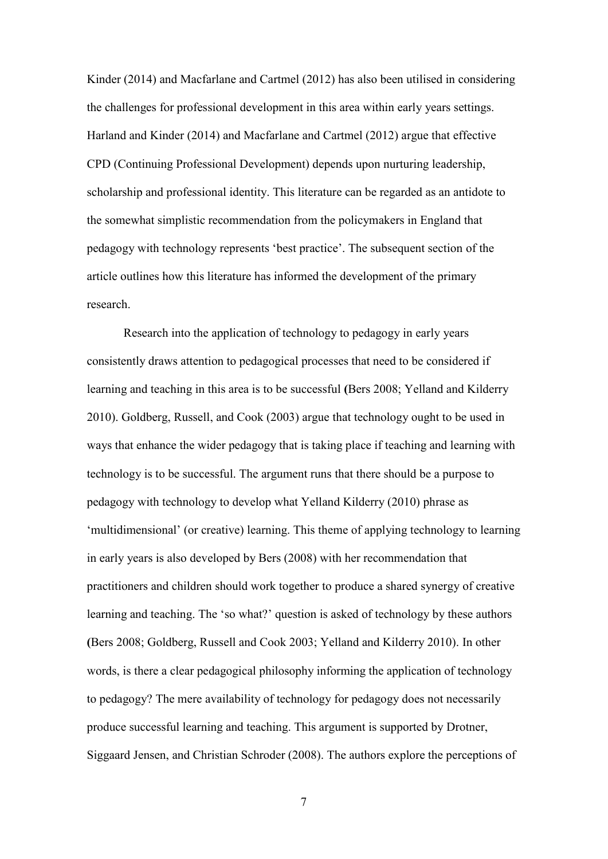Kinder (2014) and Macfarlane and Cartmel (2012) has also been utilised in considering the challenges for professional development in this area within early years settings. Harland and Kinder (2014) and Macfarlane and Cartmel (2012) argue that effective CPD (Continuing Professional Development) depends upon nurturing leadership, scholarship and professional identity. This literature can be regarded as an antidote to the somewhat simplistic recommendation from the policymakers in England that pedagogy with technology represents 'best practice'. The subsequent section of the article outlines how this literature has informed the development of the primary research.

Research into the application of technology to pedagogy in early years consistently draws attention to pedagogical processes that need to be considered if learning and teaching in this area is to be successful **(**Bers 2008; Yelland and Kilderry 2010). Goldberg, Russell, and Cook (2003) argue that technology ought to be used in ways that enhance the wider pedagogy that is taking place if teaching and learning with technology is to be successful. The argument runs that there should be a purpose to pedagogy with technology to develop what Yelland Kilderry (2010) phrase as 'multidimensional' (or creative) learning. This theme of applying technology to learning in early years is also developed by Bers (2008) with her recommendation that practitioners and children should work together to produce a shared synergy of creative learning and teaching. The 'so what?' question is asked of technology by these authors **(**Bers 2008; Goldberg, Russell and Cook 2003; Yelland and Kilderry 2010). In other words, is there a clear pedagogical philosophy informing the application of technology to pedagogy? The mere availability of technology for pedagogy does not necessarily produce successful learning and teaching. This argument is supported by Drotner, Siggaard Jensen, and Christian Schroder (2008). The authors explore the perceptions of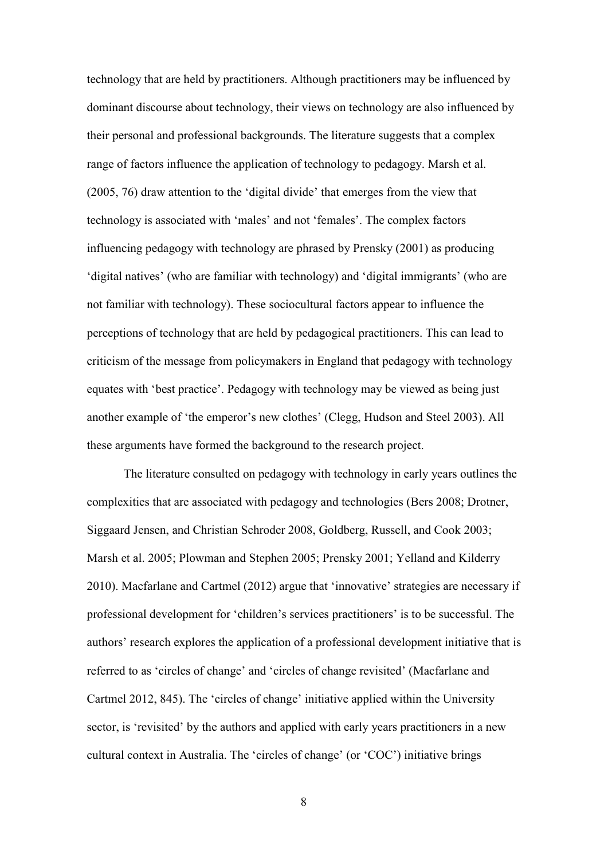technology that are held by practitioners. Although practitioners may be influenced by dominant discourse about technology, their views on technology are also influenced by their personal and professional backgrounds. The literature suggests that a complex range of factors influence the application of technology to pedagogy. Marsh et al. (2005, 76) draw attention to the 'digital divide' that emerges from the view that technology is associated with 'males' and not 'females'. The complex factors influencing pedagogy with technology are phrased by Prensky (2001) as producing 'digital natives' (who are familiar with technology) and 'digital immigrants' (who are not familiar with technology). These sociocultural factors appear to influence the perceptions of technology that are held by pedagogical practitioners. This can lead to criticism of the message from policymakers in England that pedagogy with technology equates with 'best practice'. Pedagogy with technology may be viewed as being just another example of 'the emperor's new clothes' (Clegg, Hudson and Steel 2003). All these arguments have formed the background to the research project.

The literature consulted on pedagogy with technology in early years outlines the complexities that are associated with pedagogy and technologies (Bers 2008; Drotner, Siggaard Jensen, and Christian Schroder 2008, Goldberg, Russell, and Cook 2003; Marsh et al. 2005; Plowman and Stephen 2005; Prensky 2001; Yelland and Kilderry 2010). Macfarlane and Cartmel (2012) argue that 'innovative' strategies are necessary if professional development for 'children's services practitioners' is to be successful. The authors' research explores the application of a professional development initiative that is referred to as 'circles of change' and 'circles of change revisited' (Macfarlane and Cartmel 2012, 845). The 'circles of change' initiative applied within the University sector, is 'revisited' by the authors and applied with early years practitioners in a new cultural context in Australia. The 'circles of change' (or 'COC') initiative brings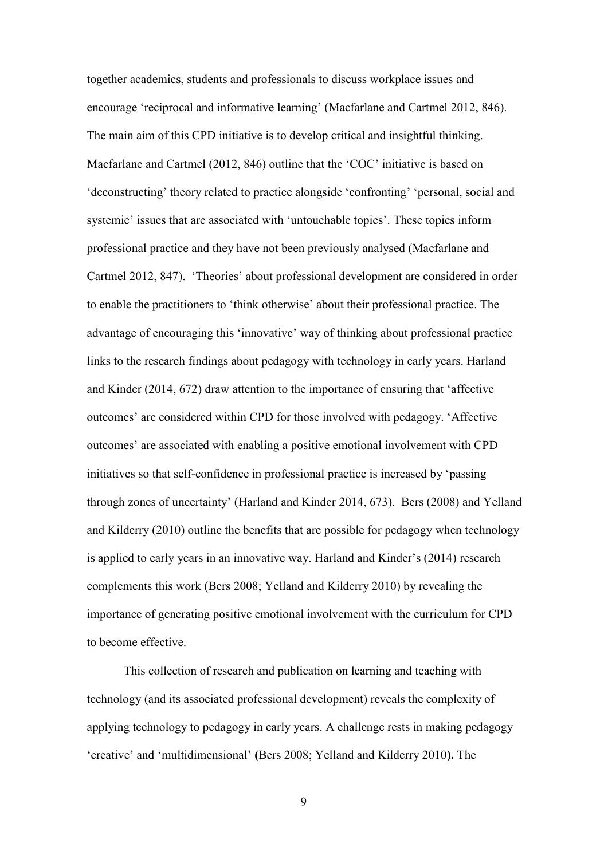together academics, students and professionals to discuss workplace issues and encourage 'reciprocal and informative learning' (Macfarlane and Cartmel 2012, 846). The main aim of this CPD initiative is to develop critical and insightful thinking. Macfarlane and Cartmel (2012, 846) outline that the 'COC' initiative is based on 'deconstructing' theory related to practice alongside 'confronting' 'personal, social and systemic' issues that are associated with 'untouchable topics'. These topics inform professional practice and they have not been previously analysed (Macfarlane and Cartmel 2012, 847). 'Theories' about professional development are considered in order to enable the practitioners to 'think otherwise' about their professional practice. The advantage of encouraging this 'innovative' way of thinking about professional practice links to the research findings about pedagogy with technology in early years. Harland and Kinder (2014, 672) draw attention to the importance of ensuring that 'affective outcomes' are considered within CPD for those involved with pedagogy. 'Affective outcomes' are associated with enabling a positive emotional involvement with CPD initiatives so that self-confidence in professional practice is increased by 'passing through zones of uncertainty' (Harland and Kinder 2014, 673). Bers (2008) and Yelland and Kilderry (2010) outline the benefits that are possible for pedagogy when technology is applied to early years in an innovative way. Harland and Kinder's (2014) research complements this work (Bers 2008; Yelland and Kilderry 2010) by revealing the importance of generating positive emotional involvement with the curriculum for CPD to become effective.

This collection of research and publication on learning and teaching with technology (and its associated professional development) reveals the complexity of applying technology to pedagogy in early years. A challenge rests in making pedagogy 'creative' and 'multidimensional' **(**Bers 2008; Yelland and Kilderry 2010**).** The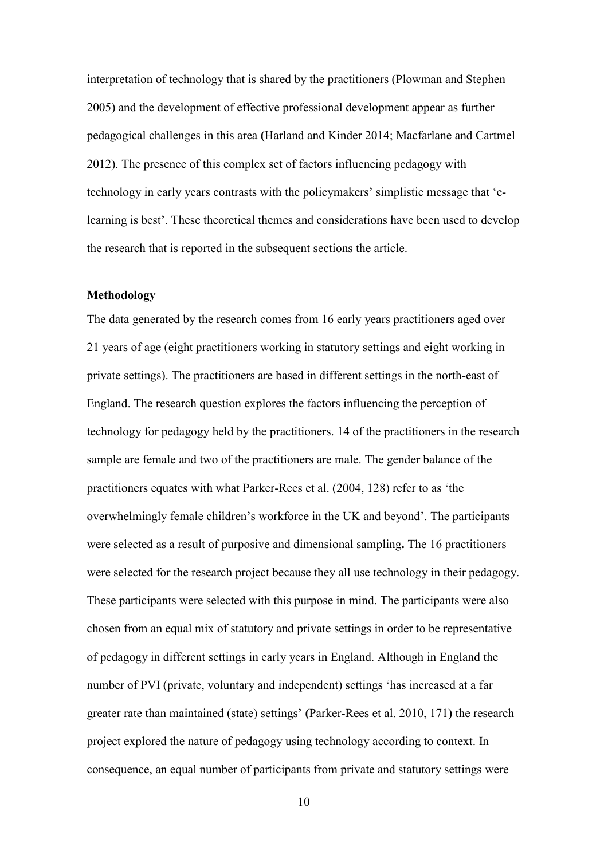interpretation of technology that is shared by the practitioners (Plowman and Stephen 2005) and the development of effective professional development appear as further pedagogical challenges in this area **(**Harland and Kinder 2014; Macfarlane and Cartmel 2012). The presence of this complex set of factors influencing pedagogy with technology in early years contrasts with the policymakers' simplistic message that 'elearning is best'. These theoretical themes and considerations have been used to develop the research that is reported in the subsequent sections the article.

### **Methodology**

The data generated by the research comes from 16 early years practitioners aged over 21 years of age (eight practitioners working in statutory settings and eight working in private settings). The practitioners are based in different settings in the north-east of England. The research question explores the factors influencing the perception of technology for pedagogy held by the practitioners. 14 of the practitioners in the research sample are female and two of the practitioners are male. The gender balance of the practitioners equates with what Parker-Rees et al. (2004, 128) refer to as 'the overwhelmingly female children's workforce in the UK and beyond'. The participants were selected as a result of purposive and dimensional sampling**.** The 16 practitioners were selected for the research project because they all use technology in their pedagogy. These participants were selected with this purpose in mind. The participants were also chosen from an equal mix of statutory and private settings in order to be representative of pedagogy in different settings in early years in England. Although in England the number of PVI (private, voluntary and independent) settings 'has increased at a far greater rate than maintained (state) settings' **(**Parker-Rees et al. 2010, 171**)** the research project explored the nature of pedagogy using technology according to context. In consequence, an equal number of participants from private and statutory settings were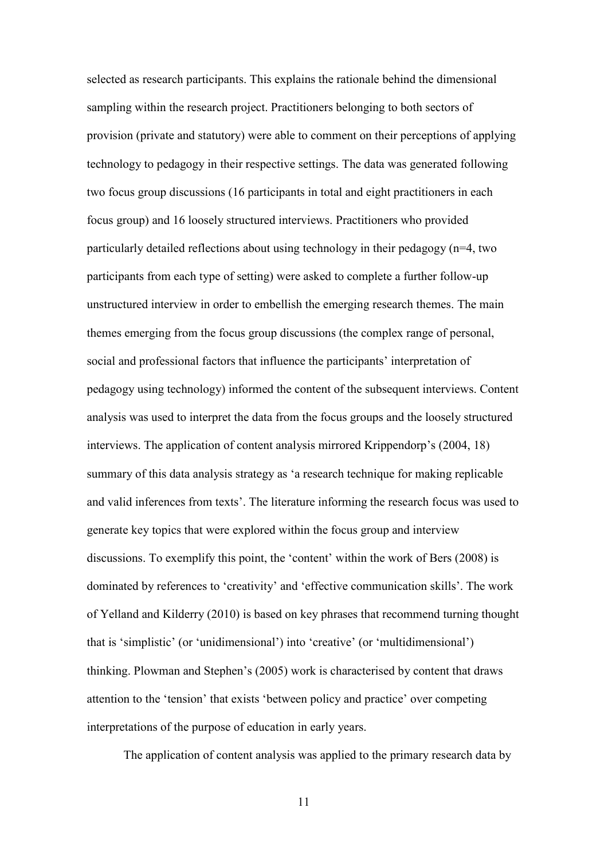selected as research participants. This explains the rationale behind the dimensional sampling within the research project. Practitioners belonging to both sectors of provision (private and statutory) were able to comment on their perceptions of applying technology to pedagogy in their respective settings. The data was generated following two focus group discussions (16 participants in total and eight practitioners in each focus group) and 16 loosely structured interviews. Practitioners who provided particularly detailed reflections about using technology in their pedagogy (n=4, two participants from each type of setting) were asked to complete a further follow-up unstructured interview in order to embellish the emerging research themes. The main themes emerging from the focus group discussions (the complex range of personal, social and professional factors that influence the participants' interpretation of pedagogy using technology) informed the content of the subsequent interviews. Content analysis was used to interpret the data from the focus groups and the loosely structured interviews. The application of content analysis mirrored Krippendorp's (2004, 18) summary of this data analysis strategy as 'a research technique for making replicable and valid inferences from texts'. The literature informing the research focus was used to generate key topics that were explored within the focus group and interview discussions. To exemplify this point, the 'content' within the work of Bers (2008) is dominated by references to 'creativity' and 'effective communication skills'. The work of Yelland and Kilderry (2010) is based on key phrases that recommend turning thought that is 'simplistic' (or 'unidimensional') into 'creative' (or 'multidimensional') thinking. Plowman and Stephen's (2005) work is characterised by content that draws attention to the 'tension' that exists 'between policy and practice' over competing interpretations of the purpose of education in early years.

The application of content analysis was applied to the primary research data by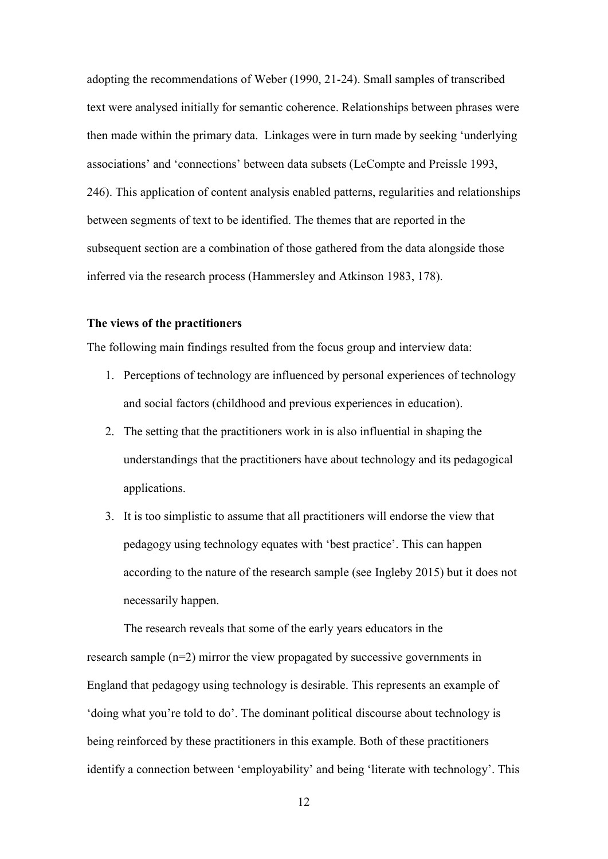adopting the recommendations of Weber (1990, 21-24). Small samples of transcribed text were analysed initially for semantic coherence. Relationships between phrases were then made within the primary data. Linkages were in turn made by seeking 'underlying associations' and 'connections' between data subsets (LeCompte and Preissle 1993, 246). This application of content analysis enabled patterns, regularities and relationships between segments of text to be identified. The themes that are reported in the subsequent section are a combination of those gathered from the data alongside those inferred via the research process (Hammersley and Atkinson 1983, 178).

### **The views of the practitioners**

The following main findings resulted from the focus group and interview data:

- 1. Perceptions of technology are influenced by personal experiences of technology and social factors (childhood and previous experiences in education).
- 2. The setting that the practitioners work in is also influential in shaping the understandings that the practitioners have about technology and its pedagogical applications.
- 3. It is too simplistic to assume that all practitioners will endorse the view that pedagogy using technology equates with 'best practice'. This can happen according to the nature of the research sample (see Ingleby 2015) but it does not necessarily happen.

The research reveals that some of the early years educators in the research sample (n=2) mirror the view propagated by successive governments in England that pedagogy using technology is desirable. This represents an example of 'doing what you're told to do'. The dominant political discourse about technology is being reinforced by these practitioners in this example. Both of these practitioners identify a connection between 'employability' and being 'literate with technology'. This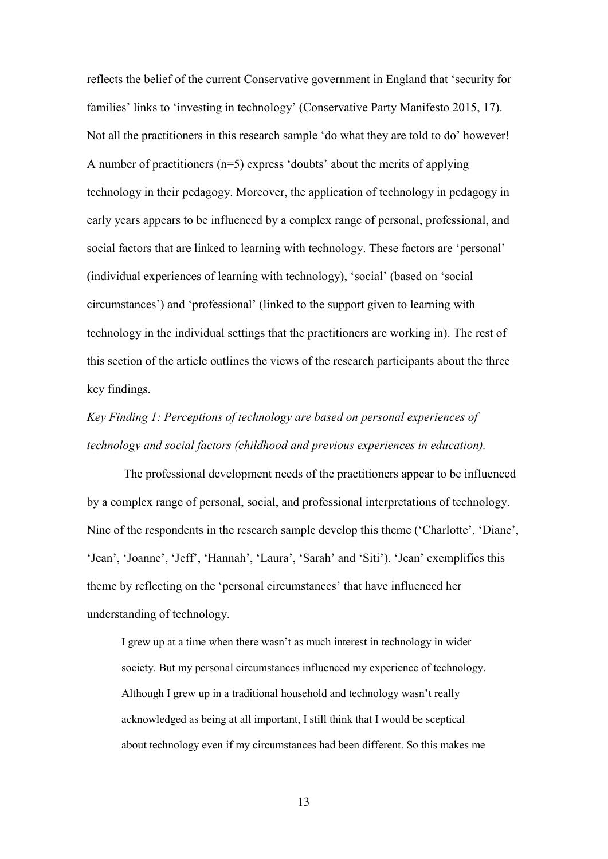reflects the belief of the current Conservative government in England that 'security for families' links to 'investing in technology' (Conservative Party Manifesto 2015, 17). Not all the practitioners in this research sample 'do what they are told to do' however! A number of practitioners (n=5) express 'doubts' about the merits of applying technology in their pedagogy. Moreover, the application of technology in pedagogy in early years appears to be influenced by a complex range of personal, professional, and social factors that are linked to learning with technology. These factors are 'personal' (individual experiences of learning with technology), 'social' (based on 'social circumstances') and 'professional' (linked to the support given to learning with technology in the individual settings that the practitioners are working in). The rest of this section of the article outlines the views of the research participants about the three key findings.

# *Key Finding 1: Perceptions of technology are based on personal experiences of technology and social factors (childhood and previous experiences in education).*

The professional development needs of the practitioners appear to be influenced by a complex range of personal, social, and professional interpretations of technology. Nine of the respondents in the research sample develop this theme ('Charlotte', 'Diane', 'Jean', 'Joanne', 'Jeff', 'Hannah', 'Laura', 'Sarah' and 'Siti'). 'Jean' exemplifies this theme by reflecting on the 'personal circumstances' that have influenced her understanding of technology.

I grew up at a time when there wasn't as much interest in technology in wider society. But my personal circumstances influenced my experience of technology. Although I grew up in a traditional household and technology wasn't really acknowledged as being at all important, I still think that I would be sceptical about technology even if my circumstances had been different. So this makes me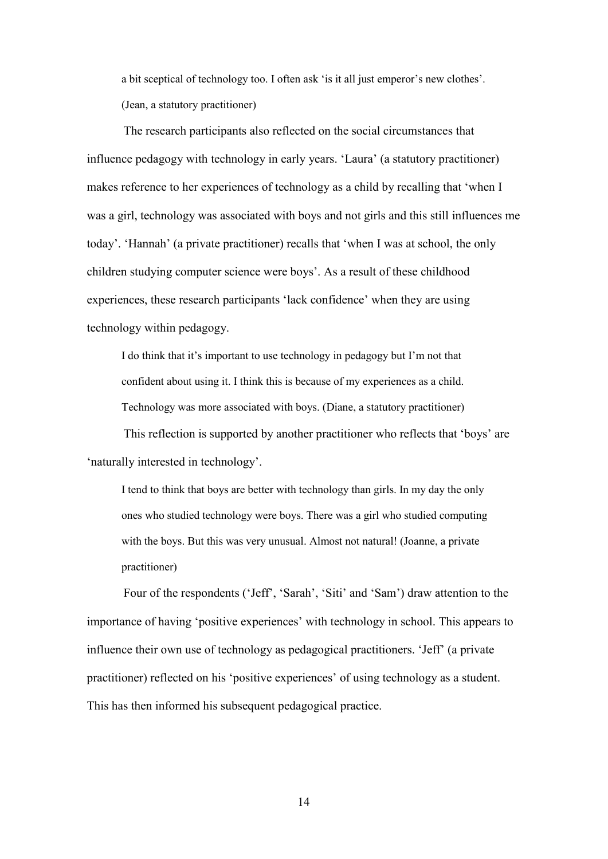a bit sceptical of technology too. I often ask 'is it all just emperor's new clothes'. (Jean, a statutory practitioner)

The research participants also reflected on the social circumstances that influence pedagogy with technology in early years. 'Laura' (a statutory practitioner) makes reference to her experiences of technology as a child by recalling that 'when I was a girl, technology was associated with boys and not girls and this still influences me today'. 'Hannah' (a private practitioner) recalls that 'when I was at school, the only children studying computer science were boys'. As a result of these childhood experiences, these research participants 'lack confidence' when they are using technology within pedagogy.

I do think that it's important to use technology in pedagogy but I'm not that confident about using it. I think this is because of my experiences as a child. Technology was more associated with boys. (Diane, a statutory practitioner)

This reflection is supported by another practitioner who reflects that 'boys' are 'naturally interested in technology'.

I tend to think that boys are better with technology than girls. In my day the only ones who studied technology were boys. There was a girl who studied computing with the boys. But this was very unusual. Almost not natural! (Joanne, a private practitioner)

Four of the respondents ('Jeff', 'Sarah', 'Siti' and 'Sam') draw attention to the importance of having 'positive experiences' with technology in school. This appears to influence their own use of technology as pedagogical practitioners. 'Jeff' (a private practitioner) reflected on his 'positive experiences' of using technology as a student. This has then informed his subsequent pedagogical practice.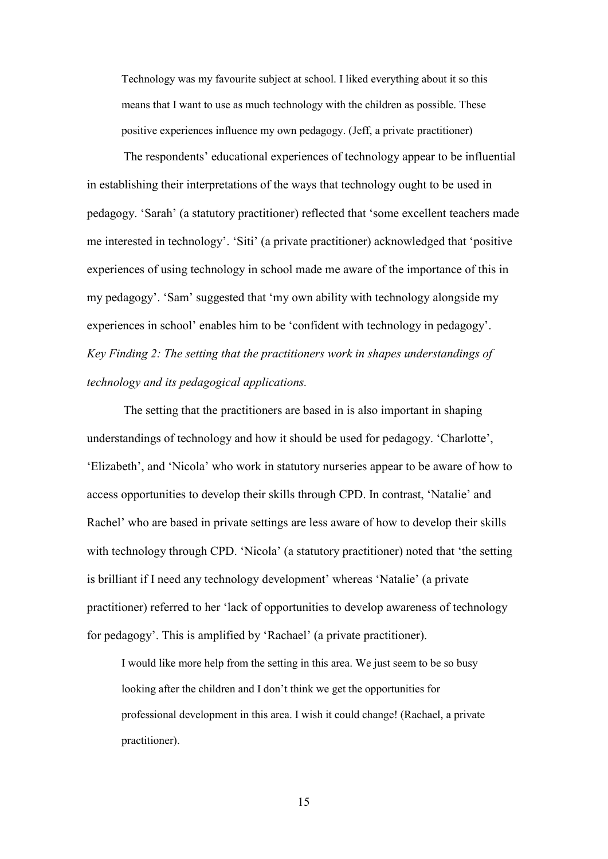Technology was my favourite subject at school. I liked everything about it so this means that I want to use as much technology with the children as possible. These positive experiences influence my own pedagogy. (Jeff, a private practitioner)

The respondents' educational experiences of technology appear to be influential in establishing their interpretations of the ways that technology ought to be used in pedagogy. 'Sarah' (a statutory practitioner) reflected that 'some excellent teachers made me interested in technology'. 'Siti' (a private practitioner) acknowledged that 'positive experiences of using technology in school made me aware of the importance of this in my pedagogy'. 'Sam' suggested that 'my own ability with technology alongside my experiences in school' enables him to be 'confident with technology in pedagogy'. *Key Finding 2: The setting that the practitioners work in shapes understandings of technology and its pedagogical applications.* 

The setting that the practitioners are based in is also important in shaping understandings of technology and how it should be used for pedagogy. 'Charlotte', 'Elizabeth', and 'Nicola' who work in statutory nurseries appear to be aware of how to access opportunities to develop their skills through CPD. In contrast, 'Natalie' and Rachel' who are based in private settings are less aware of how to develop their skills with technology through CPD. 'Nicola' (a statutory practitioner) noted that 'the setting is brilliant if I need any technology development' whereas 'Natalie' (a private practitioner) referred to her 'lack of opportunities to develop awareness of technology for pedagogy'. This is amplified by 'Rachael' (a private practitioner).

I would like more help from the setting in this area. We just seem to be so busy looking after the children and I don't think we get the opportunities for professional development in this area. I wish it could change! (Rachael, a private practitioner).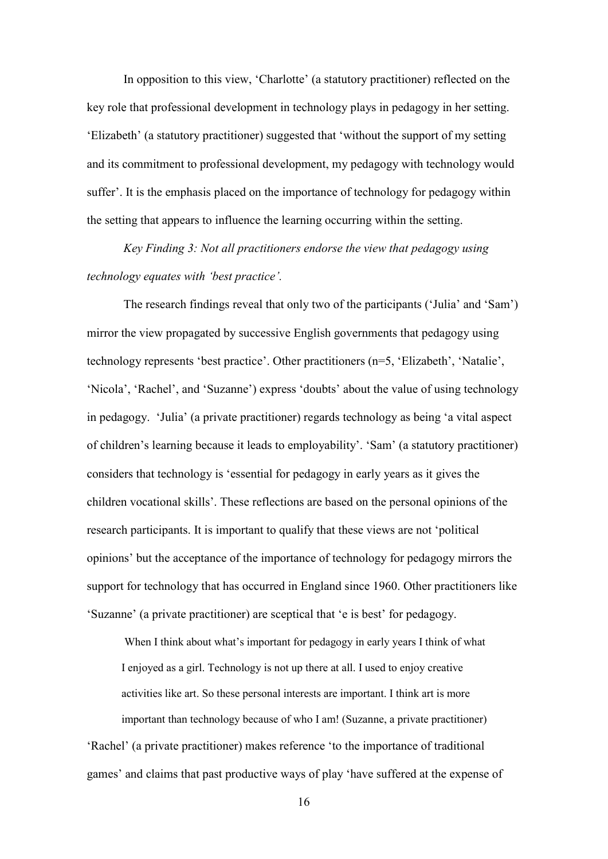In opposition to this view, 'Charlotte' (a statutory practitioner) reflected on the key role that professional development in technology plays in pedagogy in her setting. 'Elizabeth' (a statutory practitioner) suggested that 'without the support of my setting and its commitment to professional development, my pedagogy with technology would suffer'. It is the emphasis placed on the importance of technology for pedagogy within the setting that appears to influence the learning occurring within the setting.

*Key Finding 3: Not all practitioners endorse the view that pedagogy using technology equates with 'best practice'.*

The research findings reveal that only two of the participants ('Julia' and 'Sam') mirror the view propagated by successive English governments that pedagogy using technology represents 'best practice'. Other practitioners (n=5, 'Elizabeth', 'Natalie', 'Nicola', 'Rachel', and 'Suzanne') express 'doubts' about the value of using technology in pedagogy. 'Julia' (a private practitioner) regards technology as being 'a vital aspect of children's learning because it leads to employability'. 'Sam' (a statutory practitioner) considers that technology is 'essential for pedagogy in early years as it gives the children vocational skills'. These reflections are based on the personal opinions of the research participants. It is important to qualify that these views are not 'political opinions' but the acceptance of the importance of technology for pedagogy mirrors the support for technology that has occurred in England since 1960. Other practitioners like 'Suzanne' (a private practitioner) are sceptical that 'e is best' for pedagogy.

When I think about what's important for pedagogy in early years I think of what I enjoyed as a girl. Technology is not up there at all. I used to enjoy creative activities like art. So these personal interests are important. I think art is more important than technology because of who I am! (Suzanne, a private practitioner) 'Rachel' (a private practitioner) makes reference 'to the importance of traditional

games' and claims that past productive ways of play 'have suffered at the expense of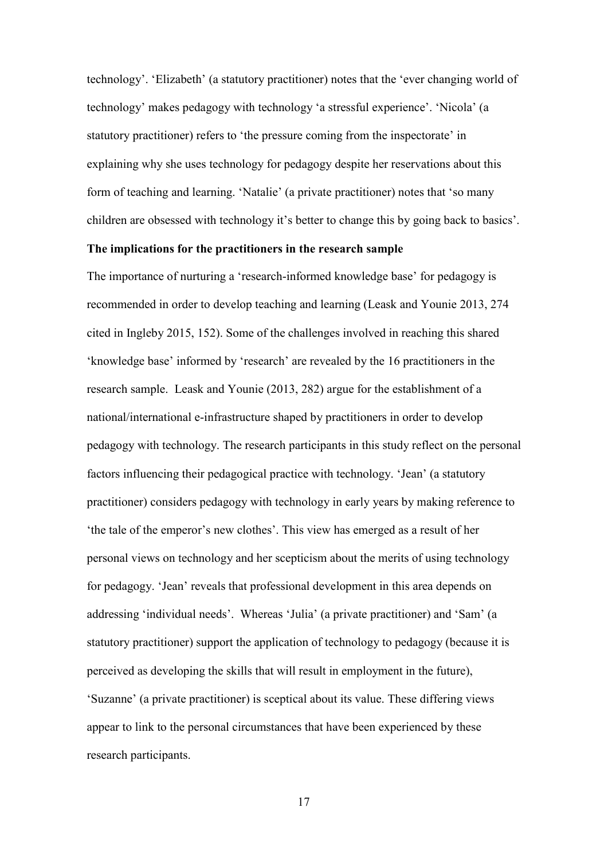technology'. 'Elizabeth' (a statutory practitioner) notes that the 'ever changing world of technology' makes pedagogy with technology 'a stressful experience'. 'Nicola' (a statutory practitioner) refers to 'the pressure coming from the inspectorate' in explaining why she uses technology for pedagogy despite her reservations about this form of teaching and learning. 'Natalie' (a private practitioner) notes that 'so many children are obsessed with technology it's better to change this by going back to basics'.

## **The implications for the practitioners in the research sample**

The importance of nurturing a 'research-informed knowledge base' for pedagogy is recommended in order to develop teaching and learning (Leask and Younie 2013, 274 cited in Ingleby 2015, 152). Some of the challenges involved in reaching this shared 'knowledge base' informed by 'research' are revealed by the 16 practitioners in the research sample. Leask and Younie (2013, 282) argue for the establishment of a national/international e-infrastructure shaped by practitioners in order to develop pedagogy with technology. The research participants in this study reflect on the personal factors influencing their pedagogical practice with technology. 'Jean' (a statutory practitioner) considers pedagogy with technology in early years by making reference to 'the tale of the emperor's new clothes'. This view has emerged as a result of her personal views on technology and her scepticism about the merits of using technology for pedagogy. 'Jean' reveals that professional development in this area depends on addressing 'individual needs'. Whereas 'Julia' (a private practitioner) and 'Sam' (a statutory practitioner) support the application of technology to pedagogy (because it is perceived as developing the skills that will result in employment in the future), 'Suzanne' (a private practitioner) is sceptical about its value. These differing views appear to link to the personal circumstances that have been experienced by these research participants.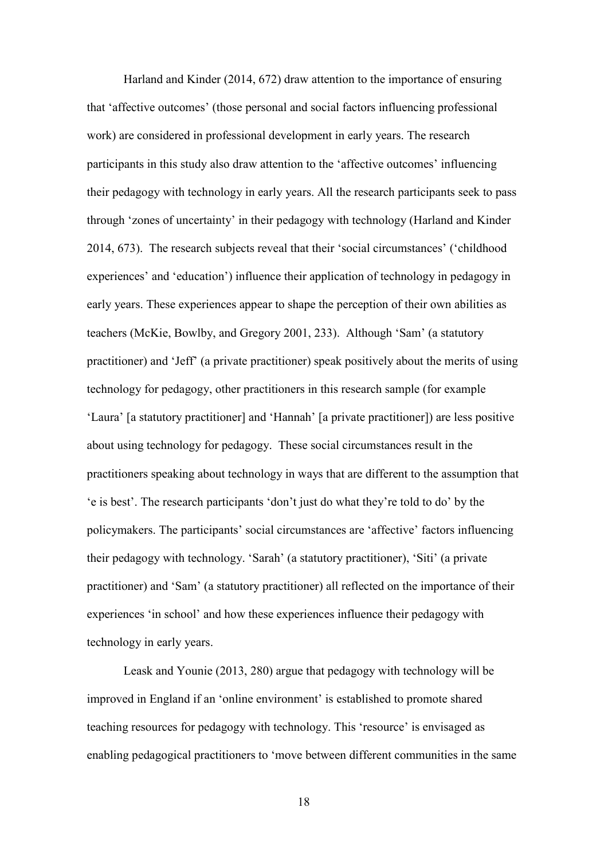Harland and Kinder (2014, 672) draw attention to the importance of ensuring that 'affective outcomes' (those personal and social factors influencing professional work) are considered in professional development in early years. The research participants in this study also draw attention to the 'affective outcomes' influencing their pedagogy with technology in early years. All the research participants seek to pass through 'zones of uncertainty' in their pedagogy with technology (Harland and Kinder 2014, 673). The research subjects reveal that their 'social circumstances' ('childhood experiences' and 'education') influence their application of technology in pedagogy in early years. These experiences appear to shape the perception of their own abilities as teachers (McKie, Bowlby, and Gregory 2001, 233). Although 'Sam' (a statutory practitioner) and 'Jeff' (a private practitioner) speak positively about the merits of using technology for pedagogy, other practitioners in this research sample (for example 'Laura' [a statutory practitioner] and 'Hannah' [a private practitioner]) are less positive about using technology for pedagogy. These social circumstances result in the practitioners speaking about technology in ways that are different to the assumption that 'e is best'. The research participants 'don't just do what they're told to do' by the policymakers. The participants' social circumstances are 'affective' factors influencing their pedagogy with technology. 'Sarah' (a statutory practitioner), 'Siti' (a private practitioner) and 'Sam' (a statutory practitioner) all reflected on the importance of their experiences 'in school' and how these experiences influence their pedagogy with technology in early years.

Leask and Younie (2013, 280) argue that pedagogy with technology will be improved in England if an 'online environment' is established to promote shared teaching resources for pedagogy with technology. This 'resource' is envisaged as enabling pedagogical practitioners to 'move between different communities in the same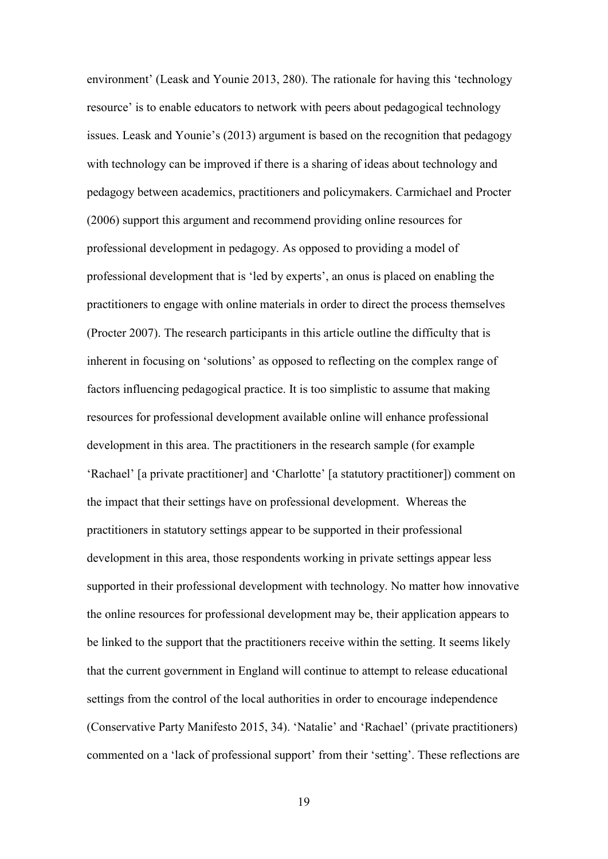environment' (Leask and Younie 2013, 280). The rationale for having this 'technology resource' is to enable educators to network with peers about pedagogical technology issues. Leask and Younie's (2013) argument is based on the recognition that pedagogy with technology can be improved if there is a sharing of ideas about technology and pedagogy between academics, practitioners and policymakers. Carmichael and Procter (2006) support this argument and recommend providing online resources for professional development in pedagogy. As opposed to providing a model of professional development that is 'led by experts', an onus is placed on enabling the practitioners to engage with online materials in order to direct the process themselves (Procter 2007). The research participants in this article outline the difficulty that is inherent in focusing on 'solutions' as opposed to reflecting on the complex range of factors influencing pedagogical practice. It is too simplistic to assume that making resources for professional development available online will enhance professional development in this area. The practitioners in the research sample (for example 'Rachael' [a private practitioner] and 'Charlotte' [a statutory practitioner]) comment on the impact that their settings have on professional development. Whereas the practitioners in statutory settings appear to be supported in their professional development in this area, those respondents working in private settings appear less supported in their professional development with technology. No matter how innovative the online resources for professional development may be, their application appears to be linked to the support that the practitioners receive within the setting. It seems likely that the current government in England will continue to attempt to release educational settings from the control of the local authorities in order to encourage independence (Conservative Party Manifesto 2015, 34). 'Natalie' and 'Rachael' (private practitioners) commented on a 'lack of professional support' from their 'setting'. These reflections are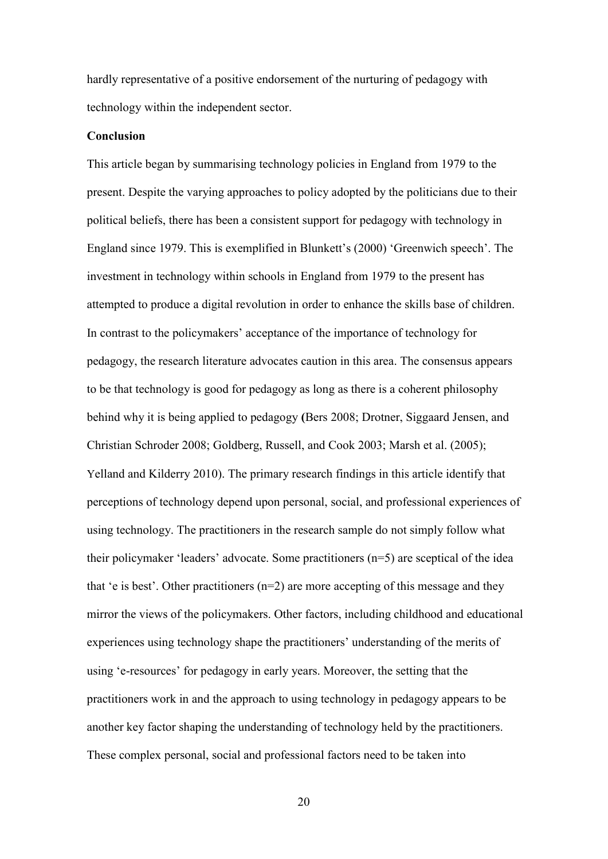hardly representative of a positive endorsement of the nurturing of pedagogy with technology within the independent sector.

### **Conclusion**

This article began by summarising technology policies in England from 1979 to the present. Despite the varying approaches to policy adopted by the politicians due to their political beliefs, there has been a consistent support for pedagogy with technology in England since 1979. This is exemplified in Blunkett's (2000) 'Greenwich speech'. The investment in technology within schools in England from 1979 to the present has attempted to produce a digital revolution in order to enhance the skills base of children. In contrast to the policymakers' acceptance of the importance of technology for pedagogy, the research literature advocates caution in this area. The consensus appears to be that technology is good for pedagogy as long as there is a coherent philosophy behind why it is being applied to pedagogy **(**Bers 2008; Drotner, Siggaard Jensen, and Christian Schroder 2008; Goldberg, Russell, and Cook 2003; Marsh et al. (2005); Yelland and Kilderry 2010). The primary research findings in this article identify that perceptions of technology depend upon personal, social, and professional experiences of using technology. The practitioners in the research sample do not simply follow what their policymaker 'leaders' advocate. Some practitioners (n=5) are sceptical of the idea that 'e is best'. Other practitioners  $(n=2)$  are more accepting of this message and they mirror the views of the policymakers. Other factors, including childhood and educational experiences using technology shape the practitioners' understanding of the merits of using 'e-resources' for pedagogy in early years. Moreover, the setting that the practitioners work in and the approach to using technology in pedagogy appears to be another key factor shaping the understanding of technology held by the practitioners. These complex personal, social and professional factors need to be taken into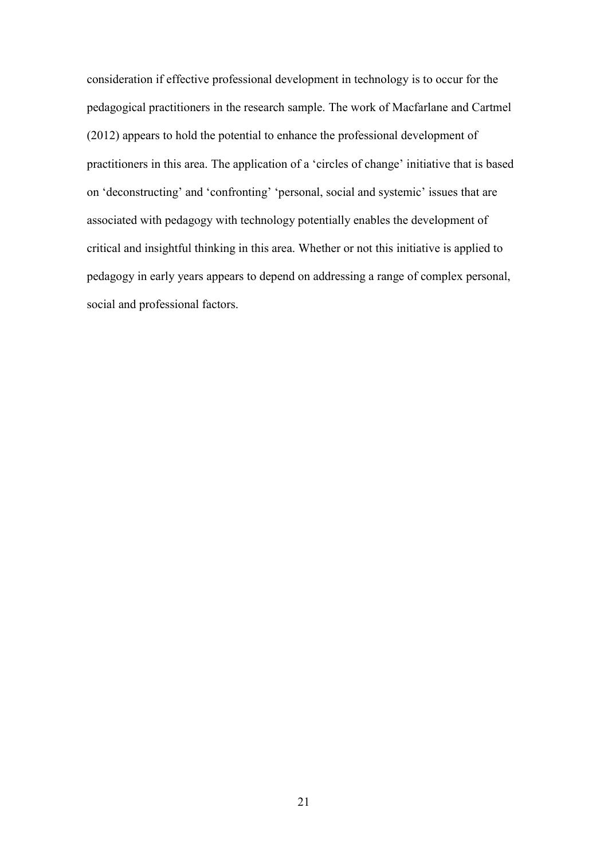consideration if effective professional development in technology is to occur for the pedagogical practitioners in the research sample. The work of Macfarlane and Cartmel (2012) appears to hold the potential to enhance the professional development of practitioners in this area. The application of a 'circles of change' initiative that is based on 'deconstructing' and 'confronting' 'personal, social and systemic' issues that are associated with pedagogy with technology potentially enables the development of critical and insightful thinking in this area. Whether or not this initiative is applied to pedagogy in early years appears to depend on addressing a range of complex personal, social and professional factors.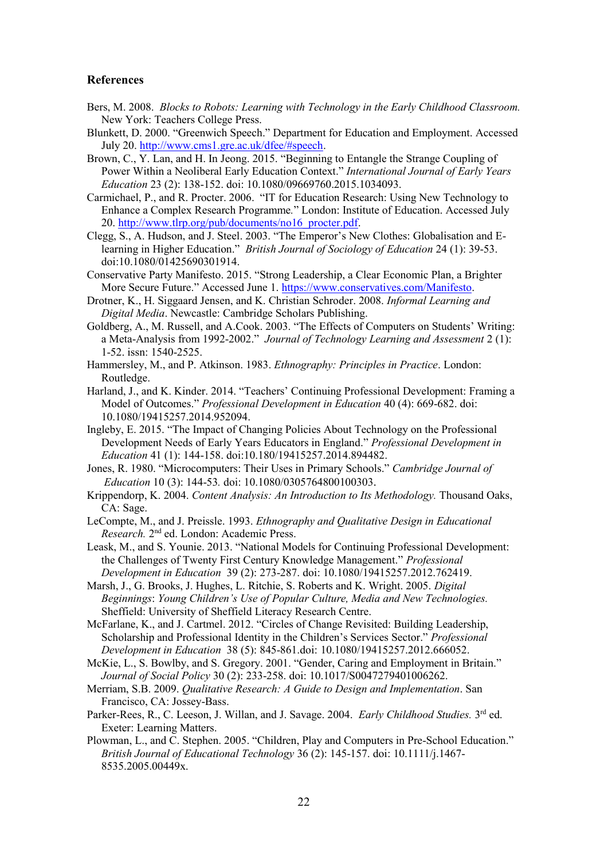### **References**

- Bers, M. 2008. *Blocks to Robots: Learning with Technology in the Early Childhood Classroom.*  New York: Teachers College Press.
- Blunkett, D. 2000. "Greenwich Speech." Department for Education and Employment. Accessed July 20. [http://www.cms1.gre.ac.uk/dfee/#speech.](http://www.cms1.gre.ac.uk/dfee/#speech)
- Brown, C., Y. Lan, and H. In Jeong. 2015. "Beginning to Entangle the Strange Coupling of Power Within a Neoliberal Early Education Context." *International Journal of Early Years Education* 23 (2): 138-152. doi: 10.1080/09669760.2015.1034093.
- Carmichael, P., and R. Procter. 2006. "IT for Education Research: Using New Technology to Enhance a Complex Research Programme*.*" London: Institute of Education. Accessed July 20. [http://www.tlrp.org/pub/documents/no16\\_procter.pdf.](http://www.tlrp.org/pub/documents/no16_procter.pdf)
- Clegg, S., A. Hudson, and J. Steel. 2003. "The Emperor's New Clothes: Globalisation and Elearning in Higher Education." *British Journal of Sociology of Education* 24 (1): 39-53. doi:10.1080/01425690301914.
- Conservative Party Manifesto. 2015. "Strong Leadership, a Clear Economic Plan, a Brighter More Secure Future." Accessed June 1. [https://www.conservatives.com/Manifesto.](https://www.conservatives.com/Manifesto)
- Drotner, K., H. Siggaard Jensen, and K. Christian Schroder. 2008. *Informal Learning and Digital Media*. Newcastle: Cambridge Scholars Publishing.
- Goldberg, A., M. Russell, and A.Cook. 2003. "The Effects of Computers on Students' Writing: a Meta-Analysis from 1992-2002." *Journal of Technology Learning and Assessment* 2 (1): 1-52. issn: 1540-2525.
- Hammersley, M., and P. Atkinson. 1983. *Ethnography: Principles in Practice*. London: Routledge.
- Harland, J., and K. Kinder. 2014. "Teachers' Continuing Professional Development: Framing a Model of Outcomes." *Professional Development in Education* 40 (4): 669-682. doi: 10.1080/19415257.2014.952094.
- Ingleby, E. 2015. "The Impact of Changing Policies About Technology on the Professional Development Needs of Early Years Educators in England." *Professional Development in Education* 41 (1): 144-158. doi:10.180/19415257.2014.894482.
- Jones, R. 1980. "Microcomputers: Their Uses in Primary Schools." *Cambridge Journal of Education* 10 (3): 144-53*.* doi: 10.1080/0305764800100303.
- Krippendorp, K. 2004. *Content Analysis: An Introduction to Its Methodology.* Thousand Oaks, CA: Sage.
- LeCompte, M., and J. Preissle. 1993. *Ethnography and Qualitative Design in Educational*  Research. 2<sup>nd</sup> ed. London: Academic Press.
- Leask, M., and S. Younie. 2013. "National Models for Continuing Professional Development: the Challenges of Twenty First Century Knowledge Management." *Professional Development in Education* 39 (2): 273-287. doi: 10.1080/19415257.2012.762419.
- Marsh, J., G. Brooks, J. Hughes, L. Ritchie, S. Roberts and K. Wright. 2005. *Digital Beginnings*: *Young Children's Use of Popular Culture, Media and New Technologies.* Sheffield: University of Sheffield Literacy Research Centre.
- McFarlane, K., and J. Cartmel. 2012. "Circles of Change Revisited: Building Leadership, Scholarship and Professional Identity in the Children's Services Sector." *Professional Development in Education* 38 (5): 845-861.doi: 10.1080/19415257.2012.666052.
- McKie, L., S. Bowlby, and S. Gregory. 2001. "Gender, Caring and Employment in Britain." *Journal of Social Policy* 30 (2): 233-258. doi: 10.1017/S0047279401006262.
- Merriam, S.B. 2009. *Qualitative Research: A Guide to Design and Implementation*. San Francisco, CA: Jossey-Bass.
- Parker-Rees, R., C. Leeson, J. Willan, and J. Savage. 2004. *Early Childhood Studies*. 3<sup>rd</sup> ed. Exeter: Learning Matters.
- Plowman, L., and C. Stephen. 2005. "Children, Play and Computers in Pre-School Education." *British Journal of Educational Technology* 36 (2): 145-157. doi: 10.1111/j.1467- 8535.2005.00449x.